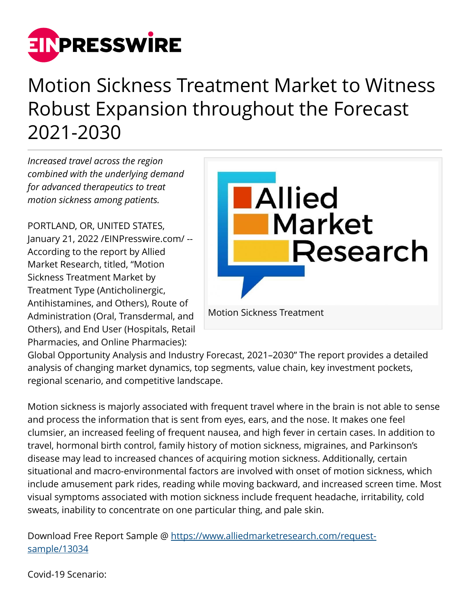

## Motion Sickness Treatment Market to Witness Robust Expansion throughout the Forecast 2021-2030

*Increased travel across the region combined with the underlying demand for advanced therapeutics to treat motion sickness among patients.*

PORTLAND, OR, UNITED STATES, January 21, 2022 /[EINPresswire.com](http://www.einpresswire.com)/ -- According to the report by Allied Market Research, titled, "Motion Sickness Treatment Market by Treatment Type (Anticholinergic, Antihistamines, and Others), Route of Administration (Oral, Transdermal, and Others), and End User (Hospitals, Retail Pharmacies, and Online Pharmacies):



Global Opportunity Analysis and Industry Forecast, 2021–2030" The report provides a detailed analysis of changing market dynamics, top segments, value chain, key investment pockets, regional scenario, and competitive landscape.

Motion sickness is majorly associated with frequent travel where in the brain is not able to sense and process the information that is sent from eyes, ears, and the nose. It makes one feel clumsier, an increased feeling of frequent nausea, and high fever in certain cases. In addition to travel, hormonal birth control, family history of motion sickness, migraines, and Parkinson's disease may lead to increased chances of acquiring motion sickness. Additionally, certain situational and macro-environmental factors are involved with onset of motion sickness, which include amusement park rides, reading while moving backward, and increased screen time. Most visual symptoms associated with motion sickness include frequent headache, irritability, cold sweats, inability to concentrate on one particular thing, and pale skin.

Download Free Report Sample @ [https://www.alliedmarketresearch.com/request](https://www.alliedmarketresearch.com/request-sample/13034)[sample/13034](https://www.alliedmarketresearch.com/request-sample/13034)

Covid-19 Scenario: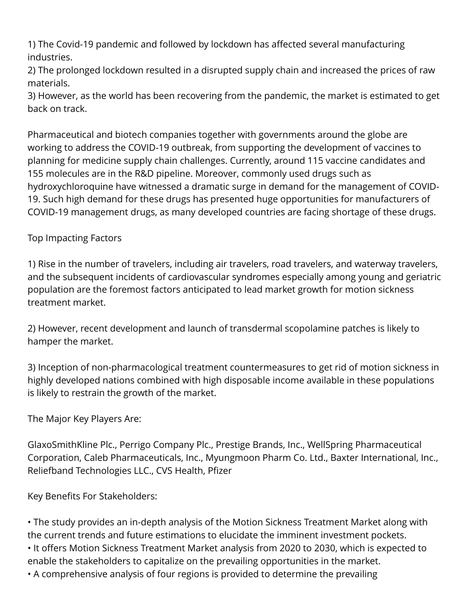1) The Covid-19 pandemic and followed by lockdown has affected several manufacturing industries.

2) The prolonged lockdown resulted in a disrupted supply chain and increased the prices of raw materials.

3) However, as the world has been recovering from the pandemic, the market is estimated to get back on track.

Pharmaceutical and biotech companies together with governments around the globe are working to address the COVID-19 outbreak, from supporting the development of vaccines to planning for medicine supply chain challenges. Currently, around 115 vaccine candidates and 155 molecules are in the R&D pipeline. Moreover, commonly used drugs such as hydroxychloroquine have witnessed a dramatic surge in demand for the management of COVID-19. Such high demand for these drugs has presented huge opportunities for manufacturers of COVID-19 management drugs, as many developed countries are facing shortage of these drugs.

## Top Impacting Factors

1) Rise in the number of travelers, including air travelers, road travelers, and waterway travelers, and the subsequent incidents of cardiovascular syndromes especially among young and geriatric population are the foremost factors anticipated to lead market growth for motion sickness treatment market.

2) However, recent development and launch of transdermal scopolamine patches is likely to hamper the market.

3) Inception of non-pharmacological treatment countermeasures to get rid of motion sickness in highly developed nations combined with high disposable income available in these populations is likely to restrain the growth of the market.

The Major Key Players Are:

GlaxoSmithKline Plc., Perrigo Company Plc., Prestige Brands, Inc., WellSpring Pharmaceutical Corporation, Caleb Pharmaceuticals, Inc., Myungmoon Pharm Co. Ltd., Baxter International, Inc., Reliefband Technologies LLC., CVS Health, Pfizer

Key Benefits For Stakeholders:

• The study provides an in-depth analysis of the Motion Sickness Treatment Market along with the current trends and future estimations to elucidate the imminent investment pockets. • It offers Motion Sickness Treatment Market analysis from 2020 to 2030, which is expected to enable the stakeholders to capitalize on the prevailing opportunities in the market.

• A comprehensive analysis of four regions is provided to determine the prevailing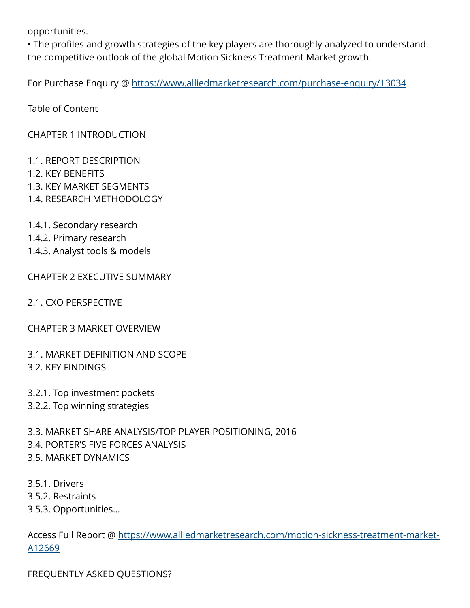opportunities.

• The profiles and growth strategies of the key players are thoroughly analyzed to understand the competitive outlook of the global Motion Sickness Treatment Market growth.

For Purchase Enquiry @ <https://www.alliedmarketresearch.com/purchase-enquiry/13034>

Table of Content

CHAPTER 1 INTRODUCTION

- 1.1. REPORT DESCRIPTION
- 1.2. KEY BENEFITS
- 1.3. KEY MARKET SEGMENTS
- 1.4. RESEARCH METHODOLOGY
- 1.4.1. Secondary research
- 1.4.2. Primary research
- 1.4.3. Analyst tools & models

CHAPTER 2 EXECUTIVE SUMMARY

- 2.1. CXO PERSPECTIVE
- CHAPTER 3 MARKET OVERVIEW
- 3.1. MARKET DEFINITION AND SCOPE 3.2. KEY FINDINGS
- 3.2.1. Top investment pockets
- 3.2.2. Top winning strategies

3.3. MARKET SHARE ANALYSIS/TOP PLAYER POSITIONING, 2016 3.4. PORTER'S FIVE FORCES ANALYSIS 3.5. MARKET DYNAMICS

3.5.1. Drivers 3.5.2. Restraints 3.5.3. Opportunities…

Access Full Report @ [https://www.alliedmarketresearch.com/motion-sickness-treatment-market-](https://www.alliedmarketresearch.com/motion-sickness-treatment-market-A12669)[A12669](https://www.alliedmarketresearch.com/motion-sickness-treatment-market-A12669)

FREQUENTLY ASKED QUESTIONS?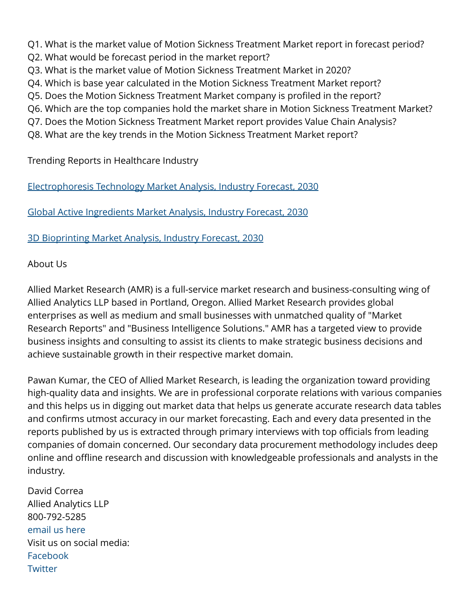Q1. What is the market value of Motion Sickness Treatment Market report in forecast period?

- Q2. What would be forecast period in the market report?
- Q3. What is the market value of Motion Sickness Treatment Market in 2020?
- Q4. Which is base year calculated in the Motion Sickness Treatment Market report?
- Q5. Does the Motion Sickness Treatment Market company is profiled in the report?
- Q6. Which are the top companies hold the market share in Motion Sickness Treatment Market?
- Q7. Does the Motion Sickness Treatment Market report provides Value Chain Analysis?
- Q8. What are the key trends in the Motion Sickness Treatment Market report?

Trending Reports in Healthcare Industry

[Electrophoresis Technology Market Analysis, Industry Forecast, 2030](https://www.alliedmarketresearch.com/request-sample/1899)

[Global Active Ingredients Market Analysis, Industry Forecast, 2030](https://www.alliedmarketresearch.com/request-sample/1974)

[3D Bioprinting Market Analysis, Industry Forecast, 2030](https://www.alliedmarketresearch.com/request-sample/2005)

## About Us

Allied Market Research (AMR) is a full-service market research and business-consulting wing of Allied Analytics LLP based in Portland, Oregon. Allied Market Research provides global enterprises as well as medium and small businesses with unmatched quality of "Market Research Reports" and "Business Intelligence Solutions." AMR has a targeted view to provide business insights and consulting to assist its clients to make strategic business decisions and achieve sustainable growth in their respective market domain.

Pawan Kumar, the CEO of Allied Market Research, is leading the organization toward providing high-quality data and insights. We are in professional corporate relations with various companies and this helps us in digging out market data that helps us generate accurate research data tables and confirms utmost accuracy in our market forecasting. Each and every data presented in the reports published by us is extracted through primary interviews with top officials from leading companies of domain concerned. Our secondary data procurement methodology includes deep online and offline research and discussion with knowledgeable professionals and analysts in the industry.

David Correa Allied Analytics LLP 800-792-5285 [email us here](http://www.einpresswire.com/contact_author/3294002) Visit us on social media: [Facebook](https://www.facebook.com/alliedmarketresearch/) **[Twitter](https://twitter.com/allied_mr)**